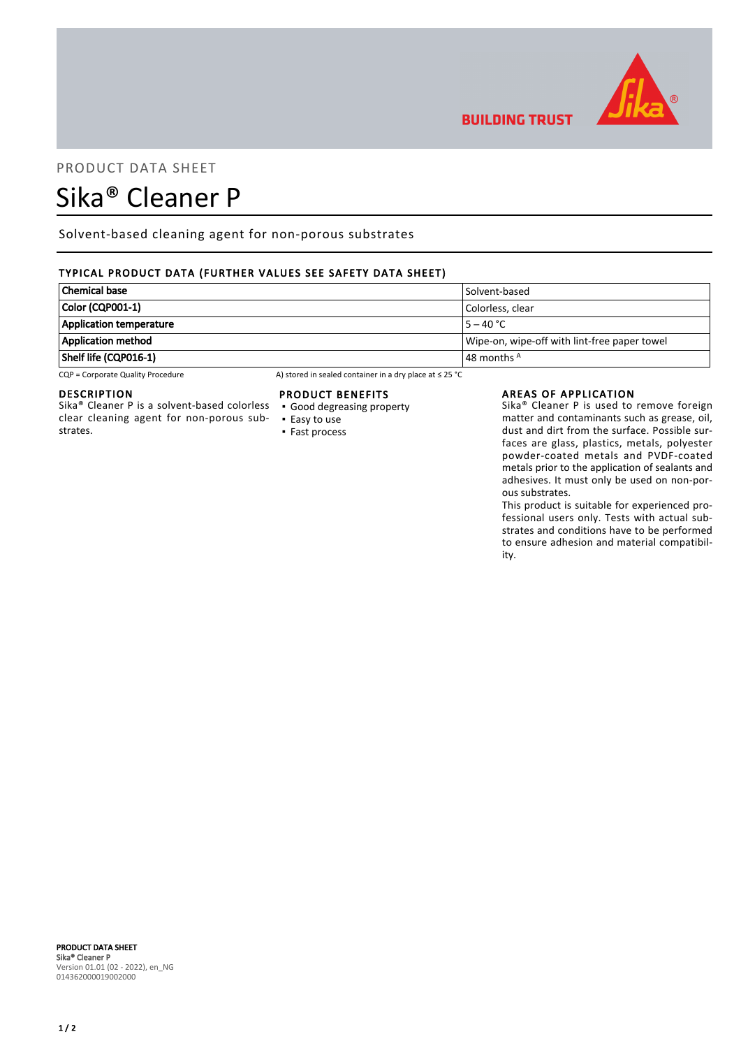

# PRODUCT DATA SHEET

# Sika® Cleaner P

Solvent-based cleaning agent for non-porous substrates

# TYPICAL PRODUCT DATA (FURTHER VALUES SEE SAFETY DATA SHEET)

| <b>Chemical base</b>           | Solvent-based                                |
|--------------------------------|----------------------------------------------|
| Color (CQP001-1)               | Colorless. clear                             |
| <b>Application temperature</b> | $15 - 40 °C$                                 |
| <b>Application method</b>      | Wipe-on, wipe-off with lint-free paper towel |
| Shelf life (CQP016-1)          | $\vert$ 48 months $^{\mathsf{A}}$            |

CQP = Corporate Quality Procedure A) stored in sealed container in a dry place at ≤ 25 °C

#### DESCRIPTION

Sika® Cleaner P is a solvent-based colorless clear cleaning agent for non-porous substrates.

#### PRODUCT BENEFITS

- Good degreasing property
- Easy to use ▪ Fast process

#### AREAS OF APPLICATION

**BUILDING TRUST** 

Sika® Cleaner P is used to remove foreign matter and contaminants such as grease, oil, dust and dirt from the surface. Possible surfaces are glass, plastics, metals, polyester powder-coated metals and PVDF-coated metals prior to the application of sealants and adhesives. It must only be used on non-porous substrates.

This product is suitable for experienced professional users only. Tests with actual substrates and conditions have to be performed to ensure adhesion and material compatibility.

#### PRODUCT DATA SHEET Sika® Cleaner P Version 01.01 (02 - 2022), en\_NG 014362000019002000